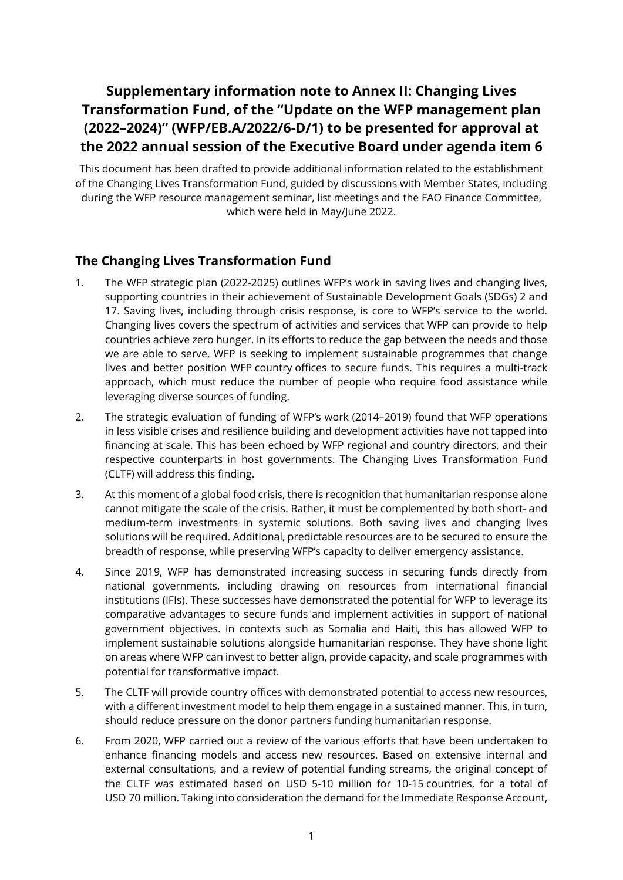# **Supplementary information note to Annex II: Changing Lives Transformation Fund, of the "Update on the WFP management plan (2022–2024)" (WFP/EB.A/2022/6-D/1) to be presented for approval at the 2022 annual session of the Executive Board under agenda item 6**

This document has been drafted to provide additional information related to the establishment of the Changing Lives Transformation Fund, guided by discussions with Member States, including during the WFP resource management seminar, list meetings and the FAO Finance Committee, which were held in May/June 2022.

# **The Changing Lives Transformation Fund**

- 1. The WFP strategic plan (2022-2025) outlines WFP's work in saving lives and changing lives, supporting countries in their achievement of Sustainable Development Goals (SDGs) 2 and 17. Saving lives, including through crisis response, is core to WFP's service to the world. Changing lives covers the spectrum of activities and services that WFP can provide to help countries achieve zero hunger. In its efforts to reduce the gap between the needs and those we are able to serve, WFP is seeking to implement sustainable programmes that change lives and better position WFP country offices to secure funds. This requires a multi-track approach, which must reduce the number of people who require food assistance while leveraging diverse sources of funding.
- 2. The strategic evaluation of funding of WFP's work (2014–2019) found that WFP operations in less visible crises and resilience building and development activities have not tapped into financing at scale. This has been echoed by WFP regional and country directors, and their respective counterparts in host governments. The Changing Lives Transformation Fund (CLTF) will address this finding.
- 3. At this moment of a global food crisis, there is recognition that humanitarian response alone cannot mitigate the scale of the crisis. Rather, it must be complemented by both short- and medium-term investments in systemic solutions. Both saving lives and changing lives solutions will be required. Additional, predictable resources are to be secured to ensure the breadth of response, while preserving WFP's capacity to deliver emergency assistance.
- 4. Since 2019, WFP has demonstrated increasing success in securing funds directly from national governments, including drawing on resources from international financial institutions (IFIs). These successes have demonstrated the potential for WFP to leverage its comparative advantages to secure funds and implement activities in support of national government objectives. In contexts such as Somalia and Haiti, this has allowed WFP to implement sustainable solutions alongside humanitarian response. They have shone light on areas where WFP can invest to better align, provide capacity, and scale programmes with potential for transformative impact.
- 5. The CLTF will provide country offices with demonstrated potential to access new resources, with a different investment model to help them engage in a sustained manner. This, in turn, should reduce pressure on the donor partners funding humanitarian response.
- 6. From 2020, WFP carried out a review of the various efforts that have been undertaken to enhance financing models and access new resources. Based on extensive internal and external consultations, and a review of potential funding streams, the original concept of the CLTF was estimated based on USD 5-10 million for 10-15 countries, for a total of USD 70 million. Taking into consideration the demand for the Immediate Response Account,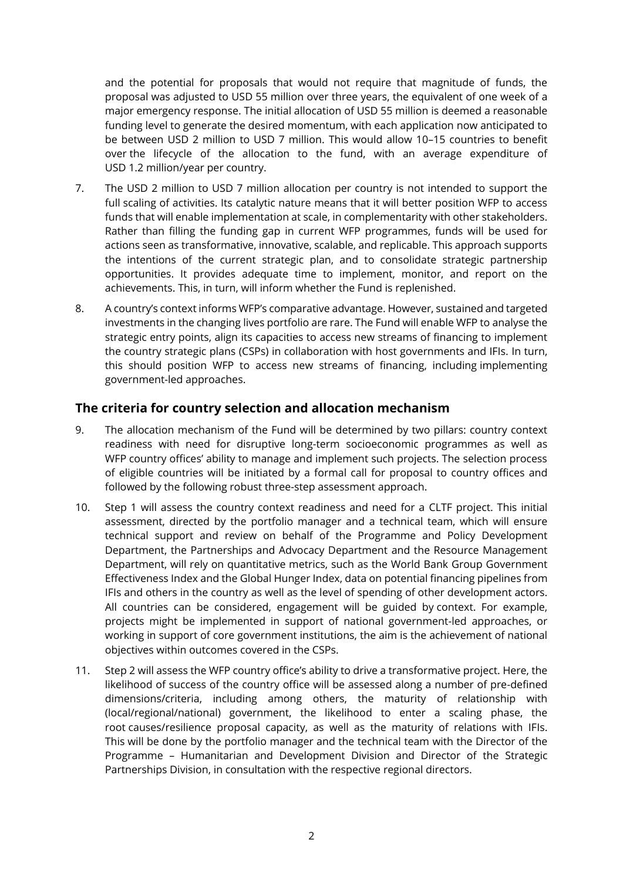and the potential for proposals that would not require that magnitude of funds, the proposal was adjusted to USD 55 million over three years, the equivalent of one week of a major emergency response. The initial allocation of USD 55 million is deemed a reasonable funding level to generate the desired momentum, with each application now anticipated to be between USD 2 million to USD 7 million. This would allow 10–15 countries to benefit over the lifecycle of the allocation to the fund, with an average expenditure of USD 1.2 million/year per country.

- 7. The USD 2 million to USD 7 million allocation per country is not intended to support the full scaling of activities. Its catalytic nature means that it will better position WFP to access funds that will enable implementation at scale, in complementarity with other stakeholders. Rather than filling the funding gap in current WFP programmes, funds will be used for actions seen as transformative, innovative, scalable, and replicable. This approach supports the intentions of the current strategic plan, and to consolidate strategic partnership opportunities. It provides adequate time to implement, monitor, and report on the achievements. This, in turn, will inform whether the Fund is replenished.
- 8. A country's context informs WFP's comparative advantage. However, sustained and targeted investments in the changing lives portfolio are rare. The Fund will enable WFP to analyse the strategic entry points, align its capacities to access new streams of financing to implement the country strategic plans (CSPs) in collaboration with host governments and IFIs. In turn, this should position WFP to access new streams of financing, including implementing government-led approaches.

## **The criteria for country selection and allocation mechanism**

- 9. The allocation mechanism of the Fund will be determined by two pillars: country context readiness with need for disruptive long-term socioeconomic programmes as well as WFP country offices' ability to manage and implement such projects. The selection process of eligible countries will be initiated by a formal call for proposal to country offices and followed by the following robust three-step assessment approach.
- 10. Step 1 will assess the country context readiness and need for a CLTF project. This initial assessment, directed by the portfolio manager and a technical team, which will ensure technical support and review on behalf of the Programme and Policy Development Department, the Partnerships and Advocacy Department and the Resource Management Department, will rely on quantitative metrics, such as the World Bank Group Government Effectiveness Index and the Global Hunger Index, data on potential financing pipelines from IFIs and others in the country as well as the level of spending of other development actors. All countries can be considered, engagement will be guided by context. For example, projects might be implemented in support of national government-led approaches, or working in support of core government institutions, the aim is the achievement of national objectives within outcomes covered in the CSPs.
- 11. Step 2 will assess the WFP country office's ability to drive a transformative project. Here, the likelihood of success of the country office will be assessed along a number of pre-defined dimensions/criteria, including among others, the maturity of relationship with (local/regional/national) government, the likelihood to enter a scaling phase, the root causes/resilience proposal capacity, as well as the maturity of relations with IFIs. This will be done by the portfolio manager and the technical team with the Director of the Programme – Humanitarian and Development Division and Director of the Strategic Partnerships Division, in consultation with the respective regional directors.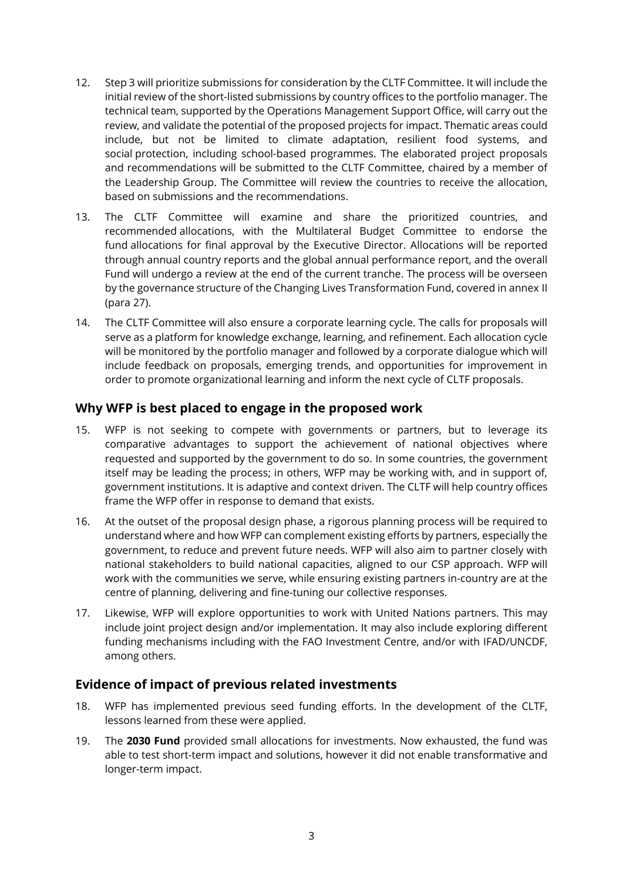- 12. Step 3 will prioritize submissions for consideration by the CLTF Committee. It will include the initial review of the short-listed submissions by country offices to the portfolio manager. The technical team, supported by the Operations Management Support Office, will carry out the review, and validate the potential of the proposed projects for impact. Thematic areas could include, but not be limited to climate adaptation, resilient food systems, and social protection, including school-based programmes. The elaborated project proposals and recommendations will be submitted to the CLTF Committee, chaired by a member of the Leadership Group. The Committee will review the countries to receive the allocation, based on submissions and the recommendations.
- 13. The CLTF Committee will examine and share the prioritized countries, and recommended allocations, with the Multilateral Budget Committee to endorse the fund allocations for final approval by the Executive Director. Allocations will be reported through annual country reports and the global annual performance report, and the overall Fund will undergo a review at the end of the current tranche. The process will be overseen by the governance structure of the Changing Lives Transformation Fund, covered in annex II (para 27).
- 14. The CLTF Committee will also ensure a corporate learning cycle. The calls for proposals will serve as a platform for knowledge exchange, learning, and refinement. Each allocation cycle will be monitored by the portfolio manager and followed by a corporate dialogue which will include feedback on proposals, emerging trends, and opportunities for improvement in order to promote organizational learning and inform the next cycle of CLTF proposals.

# **Why WFP is best placed to engage in the proposed work**

- 15. WFP is not seeking to compete with governments or partners, but to leverage its comparative advantages to support the achievement of national objectives where requested and supported by the government to do so. In some countries, the government itself may be leading the process; in others, WFP may be working with, and in support of, government institutions. It is adaptive and context driven. The CLTF will help country offices frame the WFP offer in response to demand that exists.
- 16. At the outset of the proposal design phase, a rigorous planning process will be required to understand where and how WFP can complement existing efforts by partners, especially the government, to reduce and prevent future needs. WFP will also aim to partner closely with national stakeholders to build national capacities, aligned to our CSP approach. WFP will work with the communities we serve, while ensuring existing partners in-country are at the centre of planning, delivering and fine-tuning our collective responses.
- 17. Likewise, WFP will explore opportunities to work with United Nations partners. This may include joint project design and/or implementation. It may also include exploring different funding mechanisms including with the FAO Investment Centre, and/or with IFAD/UNCDF, among others.

#### **Evidence of impact of previous related investments**

- 18. WFP has implemented previous seed funding efforts. In the development of the CLTF, lessons learned from these were applied.
- 19. The **2030 Fund** provided small allocations for investments. Now exhausted, the fund was able to test short-term impact and solutions, however it did not enable transformative and longer-term impact.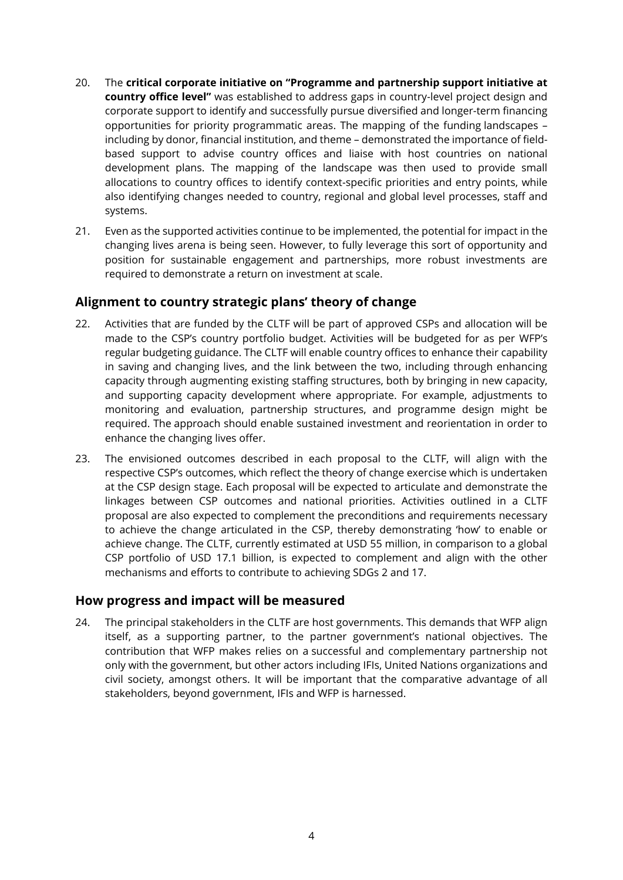- 20. The **critical corporate initiative on "Programme and partnership support initiative at country office level"** was established to address gaps in country-level project design and corporate support to identify and successfully pursue diversified and longer-term financing opportunities for priority programmatic areas. The mapping of the funding landscapes – including by donor, financial institution, and theme – demonstrated the importance of fieldbased support to advise country offices and liaise with host countries on national development plans. The mapping of the landscape was then used to provide small allocations to country offices to identify context-specific priorities and entry points, while also identifying changes needed to country, regional and global level processes, staff and systems.
- 21. Even as the supported activities continue to be implemented, the potential for impact in the changing lives arena is being seen. However, to fully leverage this sort of opportunity and position for sustainable engagement and partnerships, more robust investments are required to demonstrate a return on investment at scale.

## **Alignment to country strategic plans' theory of change**

- 22. Activities that are funded by the CLTF will be part of approved CSPs and allocation will be made to the CSP's country portfolio budget. Activities will be budgeted for as per WFP's regular budgeting guidance. The CLTF will enable country offices to enhance their capability in saving and changing lives, and the link between the two, including through enhancing capacity through augmenting existing staffing structures, both by bringing in new capacity, and supporting capacity development where appropriate. For example, adjustments to monitoring and evaluation, partnership structures, and programme design might be required. The approach should enable sustained investment and reorientation in order to enhance the changing lives offer.
- 23. The envisioned outcomes described in each proposal to the CLTF, will align with the respective CSP's outcomes, which reflect the theory of change exercise which is undertaken at the CSP design stage. Each proposal will be expected to articulate and demonstrate the linkages between CSP outcomes and national priorities. Activities outlined in a CLTF proposal are also expected to complement the preconditions and requirements necessary to achieve the change articulated in the CSP, thereby demonstrating 'how' to enable or achieve change. The CLTF, currently estimated at USD 55 million, in comparison to a global CSP portfolio of USD 17.1 billion, is expected to complement and align with the other mechanisms and efforts to contribute to achieving SDGs 2 and 17.

#### **How progress and impact will be measured**

24. The principal stakeholders in the CLTF are host governments. This demands that WFP align itself, as a supporting partner, to the partner government's national objectives. The contribution that WFP makes relies on a successful and complementary partnership not only with the government, but other actors including IFIs, United Nations organizations and civil society, amongst others. It will be important that the comparative advantage of all stakeholders, beyond government, IFIs and WFP is harnessed.